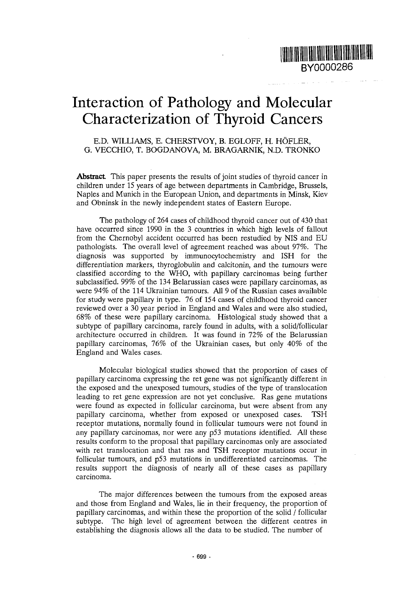

# Interaction of Pathology and Molecular Characterization of Thyroid Cancers

E.D. WILLIAMS, E. CHERSTVOY, B. EGLOFF, H. HOFLER, G. VECCHIO, T. BOGDANOVA, M. BRAGARNIK, N.D. TRONKO

**Abstract** This paper presents the results of joint studies of thyroid cancer in children under 15 years of age between departments in Cambridge, Brussels, Naples and Munich in the European Union, and departments in Minsk, Kiev and Obninsk in the newly independent states of Eastern Europe.

The pathology of 264 cases of childhood thyroid cancer out of 430 that have occurred since 1990 in the 3 countries in which high levels of fallout from the Chernobyl accident occurred has been restudied by NIS and EU pathologists. The overall level of agreement reached was about 97%. The diagnosis was supported by immunocytochemistry and ISH for the differentiation markers, thyroglobulin and calcitonin, and the tumours were classified according to the WHO, with papillary carcinomas being further subclassified. 99% of the 134 Belarussian cases were papillary carcinomas, as were 94% of the 114 Ukrainian tumours. All 9 of the Russian cases available for study were papillary in type. 76 of 154 cases of childhood thyroid cancer reviewed over a 30 year period in England and Wales and were also studied, 68% of these were papillary carcinoma. Histological study showed that a subtype of papillary carcinoma, rarely found in adults, with a solid/follicular architecture occurred in children. It was found in 72% of the Belarussian papillary carcinomas, 76% of the Ukrainian cases, but only 40% of the England and Wales cases.

Molecular biological studies showed that the proportion of cases of papillary carcinoma expressing the ret gene was not significantly different in the exposed and the unexposed tumours, studies of the type of translocation leading to ret gene expression are not yet conclusive. Ras gene mutations were found as expected in follicular carcinoma, but were absent from any papillary carcinoma, whether from exposed or unexposed cases. TSH receptor mutations, normally found in follicular tumours were not found in any papillary carcinomas, nor were any p53 mutations identified. All these results conform to the proposal that papillary carcinomas only are associated with ret translocation and that ras and TSH receptor mutations occur in follicular tumours, and p53 mutations in undifferentiated carcinomas. The results support the diagnosis of nearly all of these cases as papillary carcinoma.

The major differences between the tumours from the exposed areas and those from England and Wales, lie in their frequency, the proportion of papillary carcinomas, and within these the proportion of the solid / follicular subtype. The high level of agreement between the different centres in establishing the diagnosis allows all the data to be studied. The number of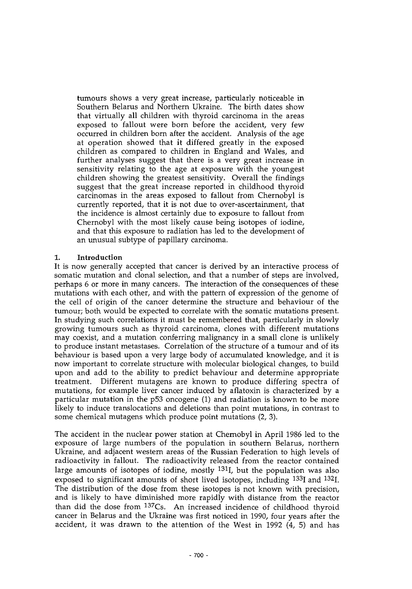tumours shows a very great increase, particularly noticeable in Southern Belarus and Northern Ukraine. The birth dates show that virtually all children with thyroid carcinoma in the areas exposed to fallout were born before the accident, very few occurred in children born after the accident. Analysis of the age at operation showed that it differed greatly in the exposed children as compared to children in England and Wales, and further analyses suggest that there is a very great increase in sensitivity relating to the age at exposure with the youngest children showing the greatest sensitivity. Overall the findings suggest that the great increase reported in childhood thyroid carcinomas in the areas exposed to fallout from Chernobyl is currently reported, that it is not due to over-ascertainment, that the incidence is almost certainly due to exposure to fallout from Chernobyl with the most likely cause being isotopes of iodine, and that this exposure to radiation has led to the development of an unusual subtype of papillary carcinoma.

#### **1. Introduction**

It is now generally accepted that cancer is derived by an interactive process of somatic mutation and clonal selection, and that a number of steps are involved, perhaps 6 or more in many cancers. The interaction of the consequences of these mutations with each other, and with the pattern of expression of the genome of the cell of origin of the cancer determine the structure and behaviour of the tumour; both would be expected to correlate with the somatic mutations present. In studying such correlations it must be remembered that, particularly in slowly growing tumours such as thyroid carcinoma, clones with different mutations may coexist, and a mutation conferring malignancy in a small clone is unlikely to produce instant metastases. Correlation of the structure of a tumour and of its behaviour is based upon a very large body of accumulated knowledge, and it is now important to correlate structure with molecular biological changes, to build upon and add to the ability to predict behaviour and determine appropriate treatment. Different mutagens are known to produce differing spectra of mutations, for example liver cancer induced by aflatoxin is characterized by a particular mutation in the p53 oncogene (1) and radiation is known to be more likely to induce translocations and deletions than point mutations, in contrast to some chemical mutagens which produce point mutations (2, 3).

The accident in the nuclear power station at Chernobyl in April 1986 led to the exposure of large numbers of the population in southern Belarus, northern Ukraine, and adjacent western areas of the Russian Federation to high levels of radioactivity in fallout. The radioactivity released from the reactor contained large amounts of isotopes of iodine, mostly <sup>131</sup>I, but the population was also exposed to significant amounts of short lived isotopes, including <sup>133</sup>I and <sup>132</sup>I The distribution of the dose from these isotopes is not known with precision, and is likely to have diminished more rapidly with distance from the reactor than did the dose from <sup>137</sup>Cs. An increased incidence of childhood thyroid cancer in Belarus and the Ukraine was first noticed in 1990, four years after the accident, it was drawn to the attention of the West in 1992 (4, 5) and has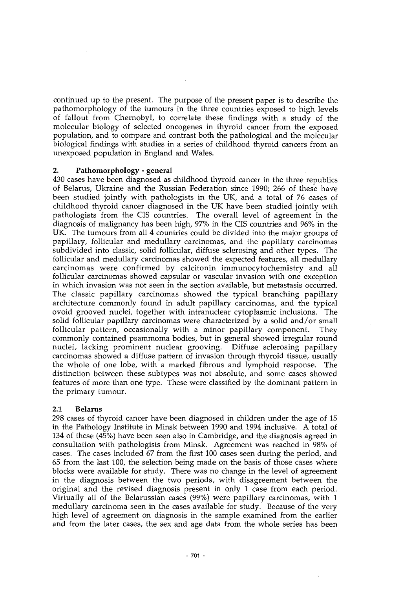continued up to the present. The purpose of the present paper is to describe the pathomorphology of the tumours in the three countries exposed to high levels of fallout from Chernobyl, to correlate these findings with a study of the molecular biology of selected oncogenes in thyroid cancer from the exposed population, and to compare and contrast both the pathological and the molecular biological findings with studies in a series of childhood thyroid cancers from an unexposed population in England and Wales.

#### **2. Pathomorphology** - **general**

430 cases have been diagnosed as childhood thyroid cancer in the three republics of Belarus, Ukraine and the Russian Federation since 1990; 266 of these have been studied jointly with pathologists in the UK, and a total of 76 cases of childhood thyroid cancer diagnosed in the UK have been studied jointly with pathologists from the CIS countries. The overall level of agreement in the diagnosis of malignancy has been high, 97% in the CIS countries and 96% in the UK. The tumours from all 4 countries could be divided into the major groups of papillary, follicular and medullary carcinomas, and the papillary carcinomas subdivided into classic, solid follicular, diffuse sclerosing and other types. The follicular and medullary carcinomas showed the expected features, all medullary carcinomas were confirmed by calcitonin immunocytochemistry and all follicular carcinomas showed capsular or vascular invasion with one exception in which invasion was not seen in the section available, but metastasis occurred. The classic papillary carcinomas showed the typical branching papillary architecture commonly found in adult papillary carcinomas, and the typical ovoid grooved nuclei, together with intranuclear cytoplasmic inclusions. The solid follicular papillary carcinomas were characterized by a solid and/or small follicular pattern, occasionally with a minor papillary component. They commonly contained psammoma bodies, but in general showed irregular round nuclei, lacking prominent nuclear grooving. Diffuse sclerosing papillary carcinomas showed a diffuse pattern of invasion through thyroid tissue, usually the whole of one lobe, with a marked fibrous and lymphoid response. The distinction between these subtypes was not absolute, and some cases showed features of more than one type. These were classified by the dominant pattern in the primary tumour.

### **2.1 Belarus**

298 cases of thyroid cancer have been diagnosed in children under the age of 15 in the Pathology Institute in Minsk between 1990 and 1994 inclusive. A total of 134 of these (45%) have been seen also in Cambridge, and the diagnosis agreed in consultation with pathologists from Minsk. Agreement was reached in 98% of cases. The cases included 67 from the first 100 cases seen during the period, and 65 from the last 100, the selection being made on the basis of those cases where blocks were available for study. There was no change in the level of agreement in the diagnosis between the two periods, with disagreement between the original and the revised diagnosis present in only 1 case from each period. Virtually all of the Belarussian cases (99%) were papillary carcinomas, with 1 medullary carcinoma seen in the cases available for study. Because of the very high level of agreement on diagnosis in the sample examined from the earlier and from the later cases, the sex and age data from the whole series has been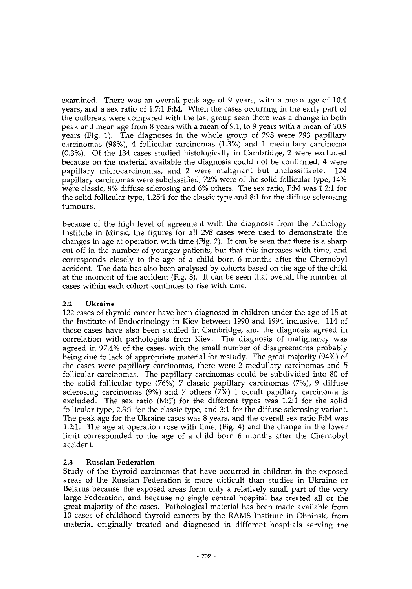examined. There was an overall peak age of 9 years, with a mean age of 10.4 years, and a sex ratio of 1.7:1 F:M. When the cases occurring in the early part of the outbreak were compared with the last group seen there was a change in both peak and mean age from 8 years with a mean of 9.1, to 9 years with a mean of 10.9 years (Fig. 1). The diagnoses in the whole group of 298 were 293 papillary carcinomas (98%), 4 follicular carcinomas (1.3%) and 1 medullary carcinoma (0.3%). Of the 134 cases studied histologically in Cambridge, 2 were excluded because on the material available the diagnosis could not be confirmed, 4 were papillary microcarcinomas, and 2 were malignant but unclassifiable. 124 papillary carcinomas were subclassified, 72% were of the solid follicular type, 14% were classic, 8% diffuse sclerosing and 6% others. The sex ratio, F:M was 1.2:1 for the solid follicular type, 1.25:1 for the classic type and 8:1 for the diffuse sclerosing tumours.

Because of the high level of agreement with the diagnosis from the Pathology Institute in Minsk, the figures for all 298 cases were used to demonstrate the changes in age at operation with time (Fig. 2). It can be seen that there is a sharp cut off in the number of younger patients, but that this increases with time, and corresponds closely to the age of a child born 6 months after the Chernobyl accident. The data has also been analysed by cohorts based on the age of the child at the moment of the accident (Fig. 3). It can be seen that overall the number of cases within each cohort continues to rise with time.

#### 2.2 Ukraine

122 cases of thyroid cancer have been diagnosed in children under the age of 15 at the Institute of Endocrinology in Kiev between 1990 and 1994 inclusive. 114 of these cases have also been studied in Cambridge, and the diagnosis agreed in correlation with pathologists from Kiev. The diagnosis of malignancy was agreed in 97.4% of the cases, with the small number of disagreements probably being due to lack of appropriate material for restudy. The great majority (94%) of the cases were papillary carcinomas, there were 2 medullary carcinomas and 5 follicular carcinomas. The papillary carcinomas could be subdivided into 80 of the solid follicular type (76%) 7 classic papillary carcinomas (7%), 9 diffuse sclerosing carcinomas (9%) and 7 others (7%) 1 occult papillary carcinoma is excluded. The sex ratio (M:F) for the different types was 1.2:1 for the solid follicular type, 2.3:1 for the classic type, and 3:1 for the diffuse sclerosing variant. The peak age for the Ukraine cases was 8 years, and the overall sex ratio F:M was 1.2:1. The age at operation rose with time, (Fig. 4) and the change in the lower limit corresponded to the age of a child born 6 months after the Chernobyl accident.

### **2.3 Russian Federation**

Study of the thyroid carcinomas that have occurred in children in the exposed areas of the Russian Federation is more difficult than studies in Ukraine or Belarus because the exposed areas form only a relatively small part of the very large Federation, and because no single central hospital has treated all or the great majority of the cases. Pathological material has been made available from 10 cases of childhood thyroid cancers by the RAMS Institute in Obninsk, from material originally treated and diagnosed in different hospitals serving the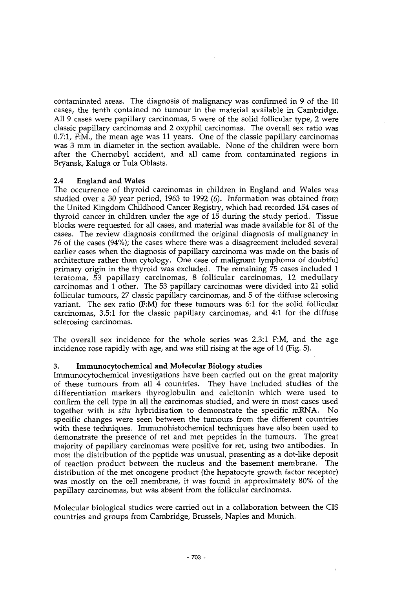contaminated areas. The diagnosis of malignancy was confirmed in 9 of the 10 cases, the tenth contained no tumour in the material available in Cambridge. All 9 cases were papillary carcinomas, 5 were of the solid follicular type, 2 were classic papillary carcinomas and 2 oxyphil carcinomas. The overall sex ratio was  $0.7:1$ , F:M,, the mean age was 11 years. One of the classic papillary carcinomas was 3 mm in diameter in the section available. None of the children were born after the Chernobyl accident, and all came from contaminated regions in Bryansk, Kaluga or Tula Oblasts.

### **2.4 England and Wales**

The occurrence of thyroid carcinomas in children in England and Wales was studied over a 30 year period, 1963 to 1992 (6). Information was obtained from the United Kingdom Childhood Cancer Registry, which had recorded 154 cases of thyroid cancer in children under the age of 15 during the study period. Tissue blocks were requested for all cases, and material was made available for 81 of the cases. The review diagnosis confirmed the original diagnosis of malignancy in 76 of the cases (94%); the cases where there was a disagreement included several earlier cases when the diagnosis of papillary carcinoma was made on the basis of architecture rather than cytology. One case of malignant lymphoma of doubtful primary origin in the thyroid was excluded. The remaining 75 cases included 1 teratoma, 53 papillary carcinomas, 8 follicular carcinomas, 12 medullary carcinomas and 1 other. The 53 papillary carcinomas were divided into 21 solid follicular tumours, 27 classic papillary carcinomas, and 5 of the diffuse sclerosing variant. The sex ratio (F:M) for these tumours was 6:1 for the solid follicular carcinomas, 3.5:1 for the classic papillary carcinomas, and 4:1 for the diffuse sclerosing carcinomas.

The overall sex incidence for the whole series was 2.3:1 F:M, and the age incidence rose rapidly with age, and was still rising at the age of 14 (Fig. 5).

### 3. **Immunocytochemical and Molecular Biology studies**

Immunocytochemical investigations have been carried out on the great majority of these tumours from all 4 countries. They have included studies of the differentiation markers thyroglobulin and calcitonin which were used to confirm the cell type in all the carcinomas studied, and were in most cases used together with *in situ* hybridisation to demonstrate the specific mRNA. No specific changes were seen between the tumours from the different countries with these techniques. Immunohistochemical techniques have also been used to demonstrate the presence of ret and met peptides in the tumours. The great majority of papillary carcinomas were positive for ret, using two antibodies. In most the distribution of the peptide was unusual, presenting as a dot-like deposit of reaction product between the nucleus and the basement membrane. The distribution of the met oncogene product (the hepatocyte growth factor receptor) was mostly on the cell membrane, it was found in approximately 80% of the papillary carcinomas, but was absent from the follicular carcinomas.

Molecular biological studies were carried out in a collaboration between the CIS countries and groups from Cambridge, Brussels, Naples and Munich.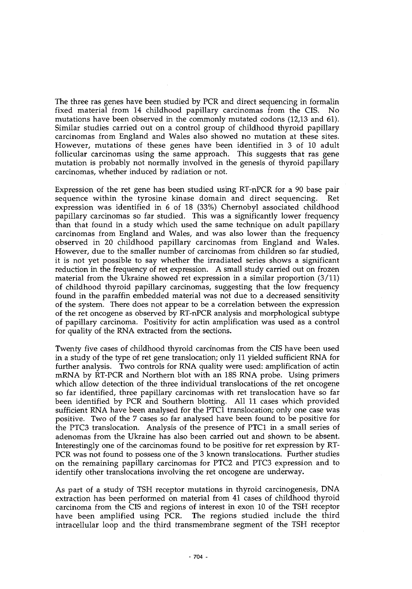The three ras genes have been studied by PCR and direct sequencing in formalin fixed material from 14 childhood papillary carcinomas from the CIS. No mutations have been observed in the commonly mutated codons (12,13 and 61). Similar studies carried out on a control group of childhood thyroid papillary carcinomas from England and Wales also showed no mutation at these sites. However, mutations of these genes have been identified in 3 of 10 adult follicular carcinomas using the same approach. This suggests that ras gene mutation is probably not normally involved in the genesis of thyroid papillary carcinomas, whether induced by radiation or not.

Expression of the ret gene has been studied using RT-nPCR for a 90 base pair sequence within the tyrosine kinase domain and direct sequencing. Ret expression was identified in 6 of 18 (33%) Chernobyl associated childhood papillary carcinomas so far studied. This was a significantly lower frequency than that found in a study which used the same technique on adult papillary carcinomas from England and Wales, and was also lower than the frequency observed in 20 childhood papillary carcinomas from England and Wales. However, due to the smaller number of carcinomas from children so far studied, it is not yet possible to say whether the irradiated series shows a significant reduction in the frequency of ret expression. A small study carried out on frozen material from the Ukraine showed ret expression in a similar proportion (3/11) of childhood thyroid papillary carcinomas, suggesting that the low frequency found in the paraffin embedded material was not due to a decreased sensitivity of the system. There does not appear to be a correlation between the expression of the ret oncogene as observed by RT-nPCR analysis and morphological subtype of papillary carcinoma. Positivity for actin amplification was used as a control for quality of the RNA extracted from the sections.

Twenty five cases of childhood thyroid carcinomas from the CIS have been used in a study of the type of ret gene translocation; only 11 yielded sufficient RNA for further analysis. Two controls for RNA quality were used: amplification of actin mRNA by RT-PCR and Northern blot with an 18S RNA probe. Using primers which allow detection of the three individual translocations of the ret oncogene so far identified, three papillary carcinomas with ret translocation have so far been identified by PCR and Southern blotting. All 11 cases which provided sufficient RNA have been analysed for the PTC1 translocation; only one case was positive. Two of the 7 cases so far analysed have been found to be positive for the PTC3 translocation. Analysis of the presence of PTC1 in a small series of adenomas from the Ukraine has also been carried out and shown to be absent. Interestingly one of the carcinomas found to be positive for ret expression by RT-PCR was not found to possess one of the 3 known translocations. Further studies on the remaining papillary carcinomas for PTC2 and PTC3 expression and to identify other translocations involving the ret oncogene are underway.

As part of a study of TSH receptor mutations in thyroid carcinogenesis, DNA extraction has been performed on material from 41 cases of childhood thyroid carcinoma from the CIS and regions of interest in exon 10 of the TSH receptor have been amplified using PCR. The regions studied include the third intracellular loop and the third transmembrane segment of the TSH receptor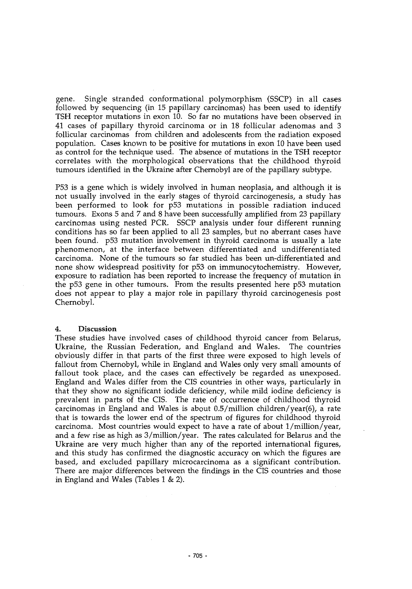gene. Single stranded conformational polymorphism (SSCP) in all cases followed by sequencing (in 15 papillary carcinomas) has been used to identify TSH receptor mutations in exon 10. So far no mutations have been observed in 41 cases of papillary thyroid carcinoma or in 18 follicular adenomas and 3 follicular carcinomas from children and adolescents from the radiation exposed population. Cases known to be positive for mutations in exon 10 have been used as control for the technique used. The absence of mutations in the TSH receptor correlates with the morphological observations that the childhood thyroid tumours identified in the Ukraine after Chernobyl are of the papillary subtype.

P53 is a gene which is widely involved in human neoplasia, and although it is not usually involved in the early stages of thyroid carcinogenesis, a study has been performed to look for p53 mutations in possible radiation induced tumours. Exons 5 and 7 and 8 have been successfully amplified from 23 papillary carcinomas using nested PCR. SSCP analysis under four different running conditions has so far been applied to all 23 samples, but no aberrant cases have been found. p53 mutation involvement in thyroid carcinoma is usually a late phenomenon, at the interface between differentiated and undifferentiated carcinoma. None of the tumours so far studied has been un-differentiated and none show widespread positivity for p53 on immunocytochemistry. However, exposure to radiation has been reported to increase the frequency of mutation in the p53 gene in other tumours. From the results presented here p53 mutation does not appear to play a major role in papillary thyroid carcinogenesis post Chernobyl.

#### 4. Discussion

These studies have involved cases of childhood thyroid cancer from Belarus, Ukraine, the Russian Federation, and England and Wales. The countries obviously differ in that parts of the first three were exposed to high levels of fallout from Chernobyl, while in England and Wales only very small amounts of fallout took place, and the cases can effectively be regarded as unexposed. England and Wales differ from the CIS countries in other ways, particularly in that they show no significant iodide deficiency, while mild iodine deficiency is prevalent in parts of the CIS. The rate of occurrence of childhood thyroid carcinomas in England and Wales is about 0.5/million children/year(6), a rate that is towards the lower end of the spectrum of figures for childhood thyroid carcinoma. Most countries would expect to have a rate of about 1/million/year, and a few rise as high as 3/million/year. The rates calculated for Belarus and the Ukraine are very much higher than any of the reported international figures, and this study has confirmed the diagnostic accuracy on which the figures are based, and excluded papillary microcarcinoma as a significant contribution. There are major differences between the findings in the CIS countries and those in England and Wales (Tables 1 & 2).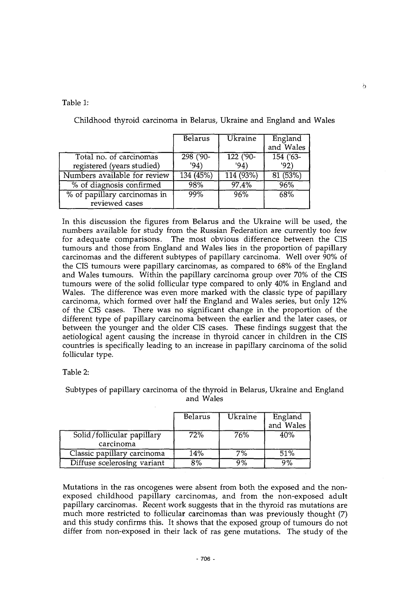Table 1:

|                                                       | Belarus           | <b>Ukraine</b>    | England<br>and Wales |
|-------------------------------------------------------|-------------------|-------------------|----------------------|
| Total no. of carcinomas<br>registered (years studied) | 298 ('90-<br>'94) | $122(90 -$<br>94) | 154 ('63-<br>'92)    |
| Numbers available for review                          | 134(45%)          | 114 (93%)         | 81 (53%)             |
| % of diagnosis confirmed                              | 98%               | 97.4%             | 96%                  |
| % of papillary carcinomas in<br>reviewed cases        | 99%               | 96%               | 68%                  |

Childhood thyroid carcinoma in Belarus, Ukraine and England and Wales

In this discussion the figures from Belarus and the Ukraine will be used, the numbers available for study from the Russian Federation are currently too *few* for adequate comparisons. The most obvious difference between the CIS tumours and those from England and Wales lies in the proportion of papillary carcinomas and the different subtypes of papillary carcinoma. Well over 90% of the CIS tumours were papillary carcinomas, as compared to 68% of the England and Wales tumours. Within the papillary carcinoma group over 70% of the CIS tumours were of the solid follicular type compared to only 40% in England and Wales. The difference was even more marked with the classic type of papillary carcinoma, which formed over half the England and Wales series, but only 12% of the CIS cases. There was no significant change in the proportion of the different type of papillary carcinoma between the earlier and the later cases, or between the younger and the older CIS cases. These findings suggest that the aetiological agent causing the increase in thyroid cancer in children in the CIS countries is specifically leading to an increase in papillary carcinoma of the solid follicular type.

Table 2:

Subtypes of papillary carcinoma of the thyroid in Belarus, Ukraine and England and Wales

|                                         | Belarus | Ukraine | England<br>and Wales |
|-----------------------------------------|---------|---------|----------------------|
| Solid/follicular papillary<br>carcinoma | 72%     | 76%     | 40%                  |
| Classic papillary carcinoma             | 14%     | 7%      | 51%                  |
| Diffuse scelerosing variant             | 8%      | 9%      | 9%                   |

Mutations in the ras oncogenes were absent from both the exposed and the nonexposed childhood papillary carcinomas, and from the non-exposed adult papillary carcinomas. Recent work suggests that in the thyroid ras mutations are much more restricted to follicular carcinomas than was previously thought (7) and this study confirms this. It shows that the exposed group of tumours do not differ from non-exposed in their lack of ras gene mutations. The study of the Ь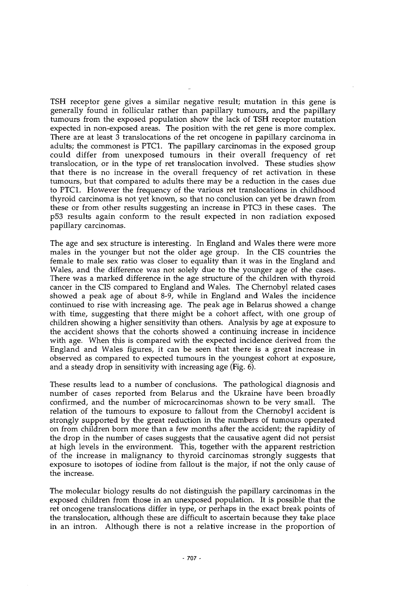TSH receptor gene gives a similar negative result; mutation in this gene is generally found in follicular rather than papillary tumours, and the papillary tumours from the exposed population show the lack of TSH receptor mutation expected in non-exposed areas. The position with the ret gene is more complex. There are at least 3 translocations of the ret oncogene in papillary carcinoma in adults; the commonest is PTC1. The papillary carcinomas in the exposed group could differ from unexposed tumours in their overall frequency of ret translocation, or in the type of ret translocation involved. These studies show that there is no increase in the overall frequency of ret activation in these tumours, but that compared to adults there may be a reduction in the cases due to PTC1. However the frequency of the various ret translocations in childhood thyroid carcinoma is not yet known, so that no conclusion can yet be drawn from these or from other results suggesting an increase in PTC3 in these cases. The p53 results again conform to the result expected in non radiation exposed papillary carcinomas.

The age and sex structure is interesting. In England and Wales there were more males in the younger but not the older age group. In the CIS countries the female to male sex ratio was closer to equality than it was in the England and Wales, and the difference was not solely due to the younger age of the cases. There was a marked difference in the age structure of the children with thyroid cancer in the CIS compared to England and Wales. The Chernobyl related cases showed a peak age of about 8-9, while in England and Wales the incidence continued to rise with increasing age. The peak age in Belarus showed a change with time, suggesting that there might be a cohort affect, with one group of children showing a higher sensitivity than others. Analysis by age at exposure to the accident shows that the cohorts showed a continuing increase in incidence with age. When this is compared with the expected incidence derived from the England and Wales figures, it can be seen that there is a great increase in observed as compared to expected tumours in the youngest cohort at exposure, and a steady drop in sensitivity with increasing age (Fig. 6).

These results lead to a number of conclusions. The pathological diagnosis and number of cases reported from Belarus and the Ukraine have been broadly confirmed, and the number of microcarcinomas shown to be very small. The relation of the tumours to exposure to fallout from the Chernobyl accident is strongly supported by the great reduction in the numbers of tumours operated on from children born more than a few months after the accident; the rapidity of the drop in the number of cases suggests that the causative agent did not persist at high levels in the environment. This, together with the apparent restriction of the increase in malignancy to thyroid carcinomas strongly suggests that exposure to isotopes of iodine from fallout is the major, if not the only cause of the increase.

The molecular biology results do not distinguish the papillary carcinomas in the exposed children from those in an unexposed population. It is possible that the ret oncogene translocations differ in type, or perhaps in the exact break points of the translocation, although these are difficult to ascertain because they take place in an intron. Although there is not a relative increase in the proportion of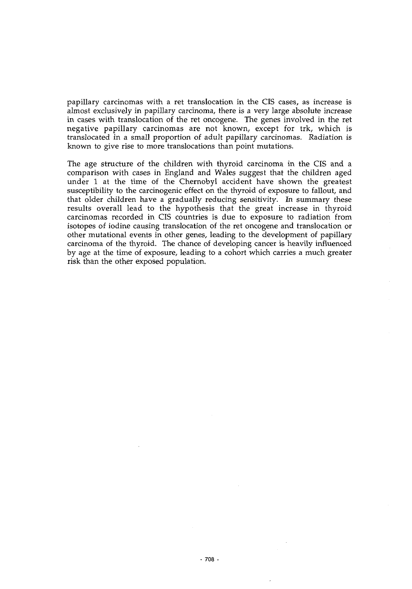papillary carcinomas with a ret translocation in the CIS cases, as increase is almost exclusively in papillary carcinoma, there is a very large absolute increase in cases with translocation of the ret oncogene. The genes involved in the ret negative papillary carcinomas are not known, except for trk, which is translocated in a small proportion of adult papillary carcinomas. Radiation is known to give rise to more translocations than point mutations.

The age structure of the children with thyroid carcinoma in the CIS and a comparison with cases in England and Wales suggest that the children aged under 1 at the time of the Chernobyl accident have shown the greatest susceptibility to the carcinogenic effect on the thyroid of exposure to fallout, and that older children have a gradually reducing sensitivity. In summary these results overall lead to the hypothesis that the great increase in thyroid carcinomas recorded in CIS countries is due to exposure to radiation from isotopes of iodine causing translocation of the ret oncogene and translocation or other mutational events in other genes, leading to the development of papillary carcinoma of the thyroid. The chance of developing cancer is heavily influenced by age at the time of exposure, leading to a cohort which carries a much greater risk than the other exposed population.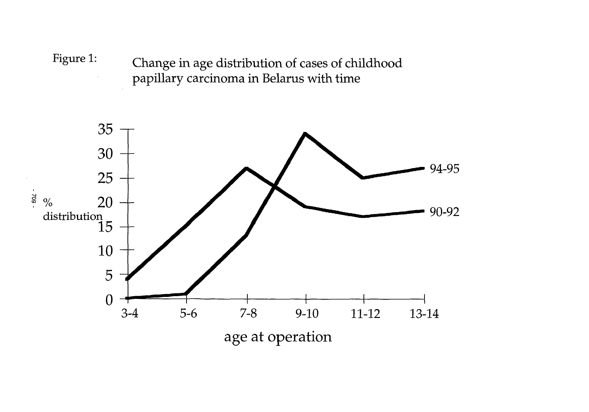Figure 1: Change in age distribution of cases of childhood papillary carcinoma in Belarus with time

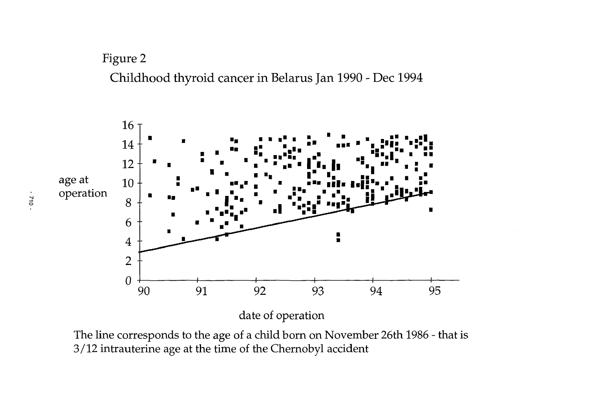Childhood thyroid cancer in Belarus Jan 1990 - Dec 1994



The line corresponds to the age of a child born on November 26th 1986 - that is 3/12 intrauterine age at the time of the Chernobyl accident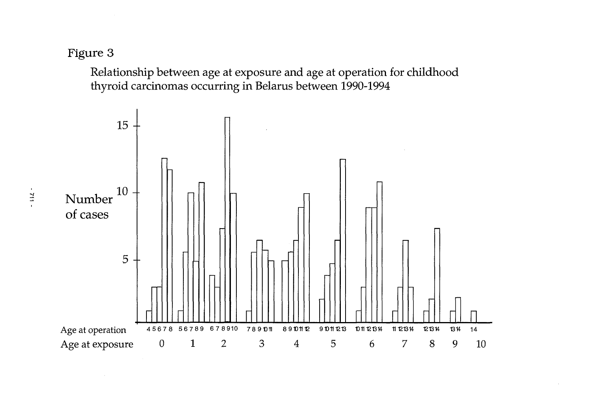Relationship between age at exposure and age at operation for childhood thyroid carcinomas occurring in Belarus between 1990-1994

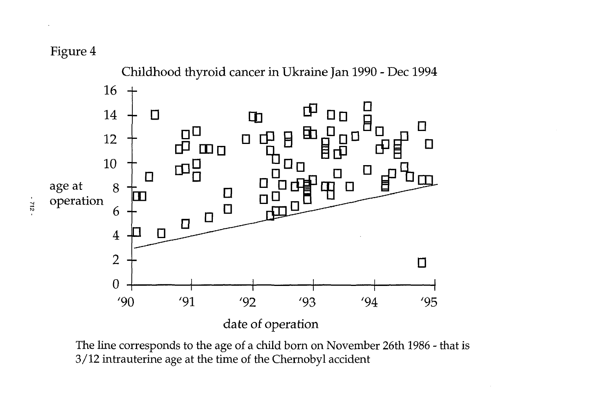

The line corresponds to the age of a child born on November 26th 1986 - that is 3/12 intrauterine age at the time of the Chernobyl accident

 $-312 -$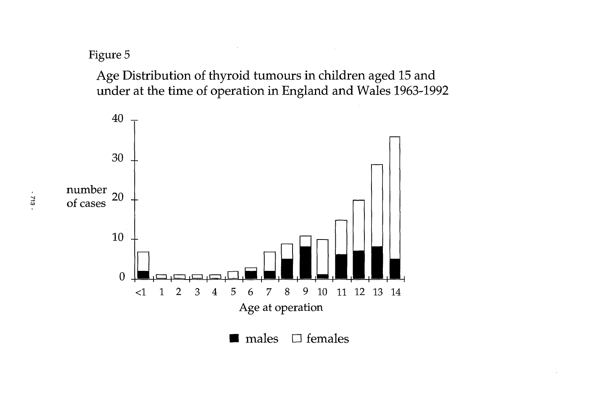Age Distribution of thyroid tumours in children aged 15 and under at the time of operation in England and Wales 1963-1992



 $\mathbf{r}$ 713